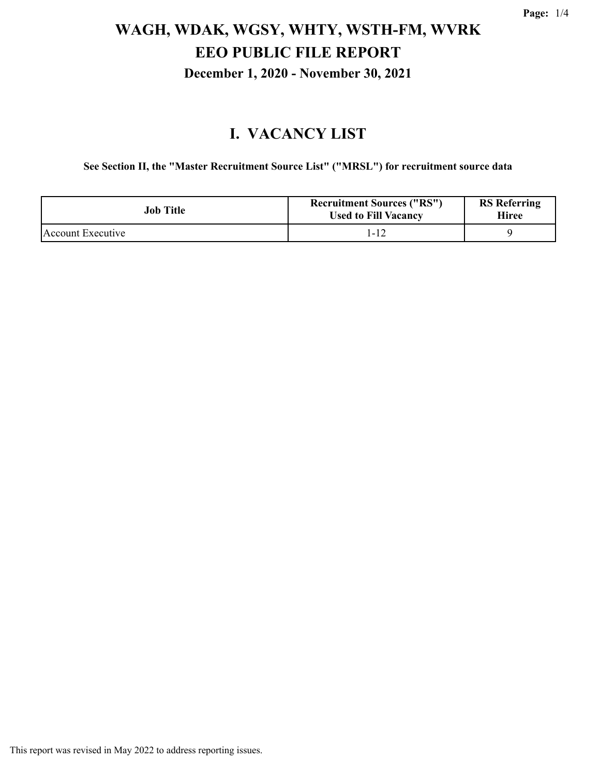#### **I. VACANCY LIST**

**See Section II, the "Master Recruitment Source List" ("MRSL") for recruitment source data**

| Job Title         | <b>Recruitment Sources ("RS")</b><br><b>Used to Fill Vacancy</b> | <b>RS</b> Referring<br><b>Hiree</b> |
|-------------------|------------------------------------------------------------------|-------------------------------------|
| Account Executive | 1-12                                                             |                                     |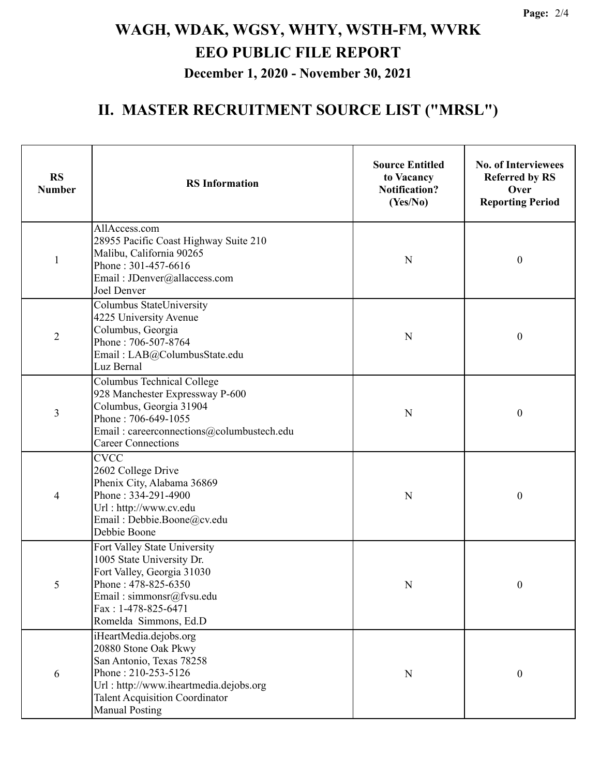#### **II. MASTER RECRUITMENT SOURCE LIST ("MRSL")**

| <b>RS</b><br><b>Number</b> | <b>RS</b> Information                                                                                                                                                                                         | <b>Source Entitled</b><br>to Vacancy<br><b>Notification?</b><br>(Yes/No) | <b>No. of Interviewees</b><br><b>Referred by RS</b><br>Over<br><b>Reporting Period</b> |
|----------------------------|---------------------------------------------------------------------------------------------------------------------------------------------------------------------------------------------------------------|--------------------------------------------------------------------------|----------------------------------------------------------------------------------------|
| $\mathbf{1}$               | AllAccess.com<br>28955 Pacific Coast Highway Suite 210<br>Malibu, California 90265<br>Phone: 301-457-6616<br>Email: JDenver@allaccess.com<br>Joel Denver                                                      | N                                                                        | $\boldsymbol{0}$                                                                       |
| $\overline{2}$             | Columbus StateUniversity<br>4225 University Avenue<br>Columbus, Georgia<br>Phone: 706-507-8764<br>Email: LAB@ColumbusState.edu<br>Luz Bernal                                                                  | N                                                                        | $\boldsymbol{0}$                                                                       |
| 3                          | Columbus Technical College<br>928 Manchester Expressway P-600<br>Columbus, Georgia 31904<br>Phone: 706-649-1055<br>Email: careerconnections@columbustech.edu<br><b>Career Connections</b>                     | N                                                                        | $\boldsymbol{0}$                                                                       |
| $\overline{4}$             | <b>CVCC</b><br>2602 College Drive<br>Phenix City, Alabama 36869<br>Phone: 334-291-4900<br>Url: http://www.cv.edu<br>Email: Debbie.Boone@cv.edu<br>Debbie Boone                                                | N                                                                        | $\boldsymbol{0}$                                                                       |
| 5                          | Fort Valley State University<br>1005 State University Dr.<br>Fort Valley, Georgia 31030<br>Phone: 478-825-6350<br>Email: simmonsr@fvsu.edu<br>Fax: 1-478-825-6471<br>Romelda Simmons, Ed.D                    | ${\bf N}$                                                                | $\boldsymbol{0}$                                                                       |
| 6                          | iHeartMedia.dejobs.org<br>20880 Stone Oak Pkwy<br>San Antonio, Texas 78258<br>Phone: 210-253-5126<br>Url: http://www.iheartmedia.dejobs.org<br><b>Talent Acquisition Coordinator</b><br><b>Manual Posting</b> | N                                                                        | $\boldsymbol{0}$                                                                       |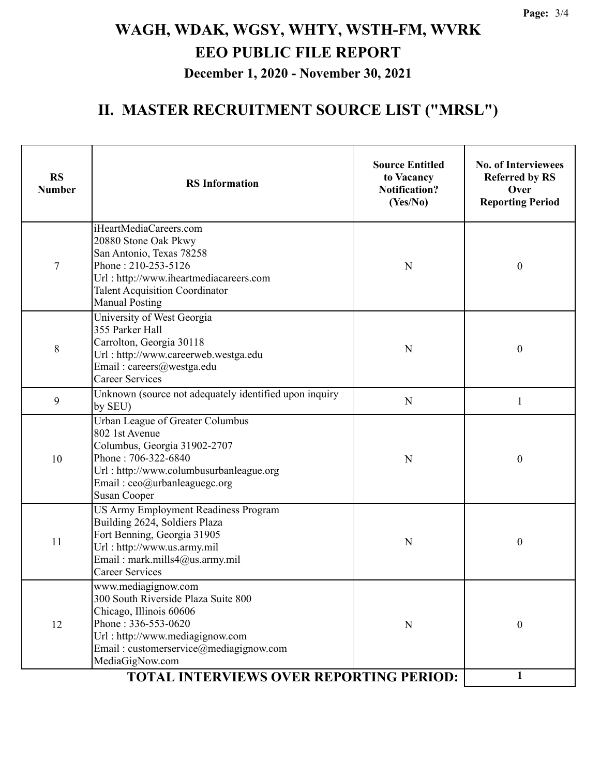#### **II. MASTER RECRUITMENT SOURCE LIST ("MRSL")**

| <b>RS</b><br><b>Number</b> | <b>RS</b> Information                                                                                                                                                                                                                                   | <b>Source Entitled</b><br>to Vacancy<br><b>Notification?</b><br>(Yes/No) | <b>No. of Interviewees</b><br><b>Referred by RS</b><br>Over<br><b>Reporting Period</b> |
|----------------------------|---------------------------------------------------------------------------------------------------------------------------------------------------------------------------------------------------------------------------------------------------------|--------------------------------------------------------------------------|----------------------------------------------------------------------------------------|
| 7                          | iHeartMediaCareers.com<br>20880 Stone Oak Pkwy<br>San Antonio, Texas 78258<br>Phone: 210-253-5126<br>Url: http://www.iheartmediacareers.com<br><b>Talent Acquisition Coordinator</b><br><b>Manual Posting</b>                                           | N                                                                        | $\boldsymbol{0}$                                                                       |
| 8                          | University of West Georgia<br>355 Parker Hall<br>Carrolton, Georgia 30118<br>Url: http://www.careerweb.westga.edu<br>Email: careers@westga.edu<br><b>Career Services</b>                                                                                | N                                                                        | $\boldsymbol{0}$                                                                       |
| 9                          | Unknown (source not adequately identified upon inquiry<br>by SEU)                                                                                                                                                                                       | $\mathbf N$                                                              | 1                                                                                      |
| 10                         | Urban League of Greater Columbus<br>802 1st Avenue<br>Columbus, Georgia 31902-2707<br>Phone: 706-322-6840<br>Url: http://www.columbusurbanleague.org<br>Email: ceo@urbanleaguegc.org<br><b>Susan Cooper</b>                                             | N                                                                        | 0                                                                                      |
| 11                         | US Army Employment Readiness Program<br>Building 2624, Soldiers Plaza<br>Fort Benning, Georgia 31905<br>Url: http://www.us.army.mil<br>Email: mark.mills4@us.army.mil<br><b>Career Services</b>                                                         | N                                                                        | $\boldsymbol{0}$                                                                       |
| 12                         | www.mediagignow.com<br>300 South Riverside Plaza Suite 800<br>Chicago, Illinois 60606<br>Phone: 336-553-0620<br>Url: http://www.mediagignow.com<br>Email: customerservice@mediagignow.com<br>MediaGigNow.com<br>TOTAL INTERVIEWS OVER REPORTING PERIOD: | N                                                                        | $\boldsymbol{0}$                                                                       |